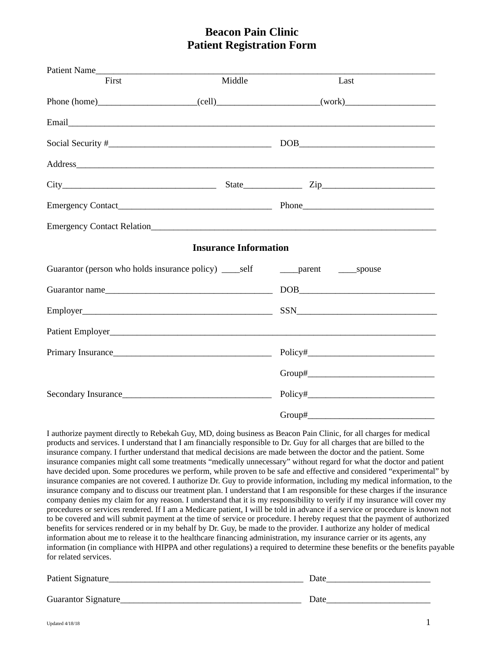## **Beacon Pain Clinic Patient Registration Form**

| First                 | Middle                       | Last                                                                                                                                                                                                                                                                                                                                                                                                                                                                                                                                                                                                                                                                                                                                                                                                                                                                                                                                                                                                                                                                                                                                                                                                                                                                                                                                                                                                                                                                                                                                                                                                                                                         |
|-----------------------|------------------------------|--------------------------------------------------------------------------------------------------------------------------------------------------------------------------------------------------------------------------------------------------------------------------------------------------------------------------------------------------------------------------------------------------------------------------------------------------------------------------------------------------------------------------------------------------------------------------------------------------------------------------------------------------------------------------------------------------------------------------------------------------------------------------------------------------------------------------------------------------------------------------------------------------------------------------------------------------------------------------------------------------------------------------------------------------------------------------------------------------------------------------------------------------------------------------------------------------------------------------------------------------------------------------------------------------------------------------------------------------------------------------------------------------------------------------------------------------------------------------------------------------------------------------------------------------------------------------------------------------------------------------------------------------------------|
|                       |                              |                                                                                                                                                                                                                                                                                                                                                                                                                                                                                                                                                                                                                                                                                                                                                                                                                                                                                                                                                                                                                                                                                                                                                                                                                                                                                                                                                                                                                                                                                                                                                                                                                                                              |
|                       |                              |                                                                                                                                                                                                                                                                                                                                                                                                                                                                                                                                                                                                                                                                                                                                                                                                                                                                                                                                                                                                                                                                                                                                                                                                                                                                                                                                                                                                                                                                                                                                                                                                                                                              |
|                       |                              | $\boxed{\text{DOB}}_{\text{max}}$                                                                                                                                                                                                                                                                                                                                                                                                                                                                                                                                                                                                                                                                                                                                                                                                                                                                                                                                                                                                                                                                                                                                                                                                                                                                                                                                                                                                                                                                                                                                                                                                                            |
|                       |                              |                                                                                                                                                                                                                                                                                                                                                                                                                                                                                                                                                                                                                                                                                                                                                                                                                                                                                                                                                                                                                                                                                                                                                                                                                                                                                                                                                                                                                                                                                                                                                                                                                                                              |
|                       |                              | $City$ $City$ $Zip$ $Zip$                                                                                                                                                                                                                                                                                                                                                                                                                                                                                                                                                                                                                                                                                                                                                                                                                                                                                                                                                                                                                                                                                                                                                                                                                                                                                                                                                                                                                                                                                                                                                                                                                                    |
|                       |                              |                                                                                                                                                                                                                                                                                                                                                                                                                                                                                                                                                                                                                                                                                                                                                                                                                                                                                                                                                                                                                                                                                                                                                                                                                                                                                                                                                                                                                                                                                                                                                                                                                                                              |
|                       |                              |                                                                                                                                                                                                                                                                                                                                                                                                                                                                                                                                                                                                                                                                                                                                                                                                                                                                                                                                                                                                                                                                                                                                                                                                                                                                                                                                                                                                                                                                                                                                                                                                                                                              |
|                       | <b>Insurance Information</b> |                                                                                                                                                                                                                                                                                                                                                                                                                                                                                                                                                                                                                                                                                                                                                                                                                                                                                                                                                                                                                                                                                                                                                                                                                                                                                                                                                                                                                                                                                                                                                                                                                                                              |
|                       |                              |                                                                                                                                                                                                                                                                                                                                                                                                                                                                                                                                                                                                                                                                                                                                                                                                                                                                                                                                                                                                                                                                                                                                                                                                                                                                                                                                                                                                                                                                                                                                                                                                                                                              |
| Guarantor name        |                              | $\begin{picture}(150,10) \put(0,0){\dashbox{0.5}(10,0){ }} \put(150,0){\circle{10}} \put(150,0){\circle{10}} \put(150,0){\circle{10}} \put(150,0){\circle{10}} \put(150,0){\circle{10}} \put(150,0){\circle{10}} \put(150,0){\circle{10}} \put(150,0){\circle{10}} \put(150,0){\circle{10}} \put(150,0){\circle{10}} \put(150,0){\circle{10}} \put(150,0){\circle{10}} \put(150,$                                                                                                                                                                                                                                                                                                                                                                                                                                                                                                                                                                                                                                                                                                                                                                                                                                                                                                                                                                                                                                                                                                                                                                                                                                                                            |
|                       |                              |                                                                                                                                                                                                                                                                                                                                                                                                                                                                                                                                                                                                                                                                                                                                                                                                                                                                                                                                                                                                                                                                                                                                                                                                                                                                                                                                                                                                                                                                                                                                                                                                                                                              |
|                       |                              |                                                                                                                                                                                                                                                                                                                                                                                                                                                                                                                                                                                                                                                                                                                                                                                                                                                                                                                                                                                                                                                                                                                                                                                                                                                                                                                                                                                                                                                                                                                                                                                                                                                              |
|                       |                              |                                                                                                                                                                                                                                                                                                                                                                                                                                                                                                                                                                                                                                                                                                                                                                                                                                                                                                                                                                                                                                                                                                                                                                                                                                                                                                                                                                                                                                                                                                                                                                                                                                                              |
|                       |                              |                                                                                                                                                                                                                                                                                                                                                                                                                                                                                                                                                                                                                                                                                                                                                                                                                                                                                                                                                                                                                                                                                                                                                                                                                                                                                                                                                                                                                                                                                                                                                                                                                                                              |
|                       |                              |                                                                                                                                                                                                                                                                                                                                                                                                                                                                                                                                                                                                                                                                                                                                                                                                                                                                                                                                                                                                                                                                                                                                                                                                                                                                                                                                                                                                                                                                                                                                                                                                                                                              |
|                       |                              |                                                                                                                                                                                                                                                                                                                                                                                                                                                                                                                                                                                                                                                                                                                                                                                                                                                                                                                                                                                                                                                                                                                                                                                                                                                                                                                                                                                                                                                                                                                                                                                                                                                              |
| for related services. |                              | I authorize payment directly to Rebekah Guy, MD, doing business as Beacon Pain Clinic, for all charges for medical<br>products and services. I understand that I am financially responsible to Dr. Guy for all charges that are billed to the<br>insurance company. I further understand that medical decisions are made between the doctor and the patient. Some<br>insurance companies might call some treatments "medically unnecessary" without regard for what the doctor and patient<br>have decided upon. Some procedures we perform, while proven to be safe and effective and considered "experimental" by<br>insurance companies are not covered. I authorize Dr. Guy to provide information, including my medical information, to the<br>insurance company and to discuss our treatment plan. I understand that I am responsible for these charges if the insurance<br>company denies my claim for any reason. I understand that it is my responsibility to verify if my insurance will cover my<br>procedures or services rendered. If I am a Medicare patient, I will be told in advance if a service or procedure is known not<br>to be covered and will submit payment at the time of service or procedure. I hereby request that the payment of authorized<br>benefits for services rendered or in my behalf by Dr. Guy, be made to the provider. I authorize any holder of medical<br>information about me to release it to the healthcare financing administration, my insurance carrier or its agents, any<br>information (in compliance with HIPPA and other regulations) a required to determine these benefits or the benefits payable |

| Patient Signature_   | Date |
|----------------------|------|
|                      |      |
| Guarantor Signature_ | Date |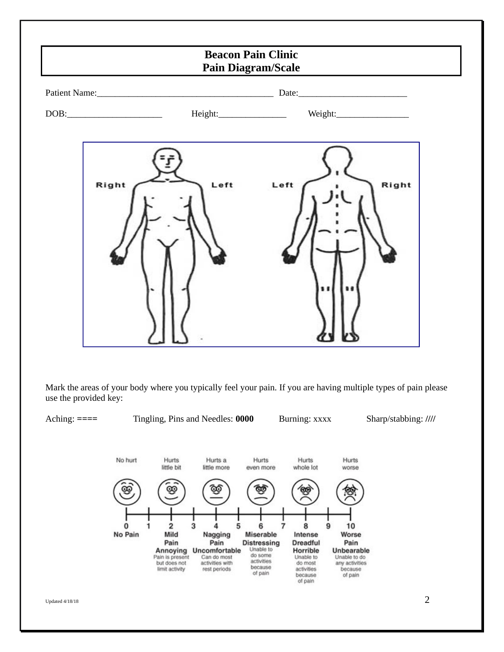|                                                           | <b>Beacon Pain Clinic</b><br><b>Pain Diagram/Scale</b> |               |  |  |  |
|-----------------------------------------------------------|--------------------------------------------------------|---------------|--|--|--|
|                                                           |                                                        |               |  |  |  |
| $\text{DOB:}\qquad \qquad \overbrace{\qquad \qquad }^{C}$ |                                                        |               |  |  |  |
| Right                                                     | Left                                                   | Right<br>Left |  |  |  |

Mark the areas of your body where you typically feel your pain. If you are having multiple types of pain please use the provided key:

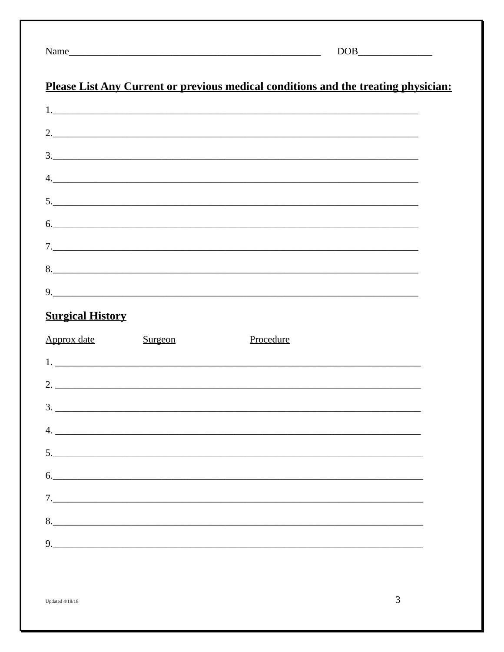|--|

## Please List Any Current or previous medical conditions and the treating physician:

<u> 1989 - Johann Barn, fransk politik en og den s</u>

| 1.            |  |
|---------------|--|
| 2.            |  |
| $\frac{3}{2}$ |  |
| 4.            |  |
|               |  |
| 6.            |  |
|               |  |
| 8.            |  |
| 9.            |  |

## **Surgical History**

| Approx date | Surgeon | Procedure |
|-------------|---------|-----------|
|             | 1.      |           |
|             |         | 2.        |
|             | 3.      |           |
|             |         |           |
|             | 5.      |           |
|             |         | 6.        |
|             | 7.      |           |
|             |         |           |
|             |         | 9.        |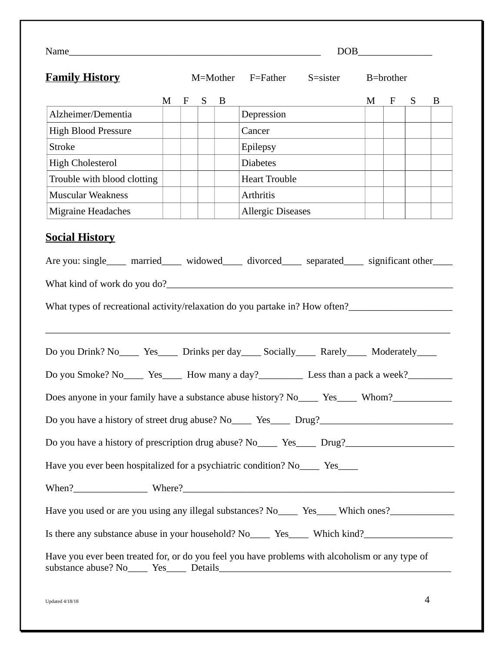|                                                                                                        |   |              |   |          |                                                                 | $\boxed{\text{DOB}\_\_}$ |           |   |   |
|--------------------------------------------------------------------------------------------------------|---|--------------|---|----------|-----------------------------------------------------------------|--------------------------|-----------|---|---|
| <b>Family History</b>                                                                                  |   |              |   | M=Mother | F=Father<br>S=sister                                            |                          | B=brother |   |   |
|                                                                                                        | M | $\mathbf{F}$ | S | B        | <u> 1980 - Johann Barn, mars an t-Amerikaansk kommunister (</u> | M                        | F         | S | B |
| Alzheimer/Dementia                                                                                     |   |              |   |          | Depression                                                      |                          |           |   |   |
| <b>High Blood Pressure</b>                                                                             |   |              |   |          | Cancer                                                          |                          |           |   |   |
| <b>Stroke</b>                                                                                          |   |              |   |          | Epilepsy                                                        |                          |           |   |   |
| <b>High Cholesterol</b>                                                                                |   |              |   |          | <b>Diabetes</b>                                                 |                          |           |   |   |
| Trouble with blood clotting                                                                            |   |              |   |          | <b>Heart Trouble</b>                                            |                          |           |   |   |
| <b>Muscular Weakness</b>                                                                               |   |              |   |          | Arthritis                                                       |                          |           |   |   |
| <b>Migraine Headaches</b>                                                                              |   |              |   |          | <b>Allergic Diseases</b>                                        |                          |           |   |   |
| Do you Drink? No_______ Yes_______ Drinks per day______ Socially_______ Rarely_______ Moderately______ |   |              |   |          |                                                                 |                          |           |   |   |
|                                                                                                        |   |              |   |          |                                                                 |                          |           |   |   |
|                                                                                                        |   |              |   |          |                                                                 |                          |           |   |   |
|                                                                                                        |   |              |   |          |                                                                 |                          |           |   |   |
| Do you have a history of prescription drug abuse? No_______ Yes______ Drug?_________________________   |   |              |   |          |                                                                 |                          |           |   |   |
| Have you ever been hospitalized for a psychiatric condition? No_____ Yes_____                          |   |              |   |          |                                                                 |                          |           |   |   |
|                                                                                                        |   |              |   |          |                                                                 |                          |           |   |   |
| Have you used or are you using any illegal substances? No_____ Yes____ Which ones?_________________    |   |              |   |          |                                                                 |                          |           |   |   |
| Is there any substance abuse in your household? No________ Yes_______ Which kind?___________________   |   |              |   |          |                                                                 |                          |           |   |   |
| Have you ever been treated for, or do you feel you have problems with alcoholism or any type of        |   |              |   |          |                                                                 |                          |           |   |   |

Updated 4/18/18  $\hskip 10mm 4$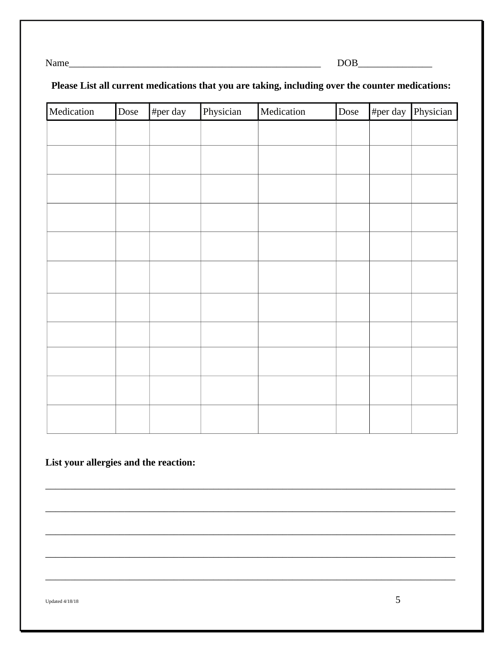$DOB$ 

#### Please List all current medications that you are taking, including over the counter medications:

| Medication | Dose | #per day | Physician | Medication | Dose | #per day $\vert$ | Physician |
|------------|------|----------|-----------|------------|------|------------------|-----------|
|            |      |          |           |            |      |                  |           |
|            |      |          |           |            |      |                  |           |
|            |      |          |           |            |      |                  |           |
|            |      |          |           |            |      |                  |           |
|            |      |          |           |            |      |                  |           |
|            |      |          |           |            |      |                  |           |
|            |      |          |           |            |      |                  |           |
|            |      |          |           |            |      |                  |           |
|            |      |          |           |            |      |                  |           |
|            |      |          |           |            |      |                  |           |
|            |      |          |           |            |      |                  |           |
|            |      |          |           |            |      |                  |           |
|            |      |          |           |            |      |                  |           |
|            |      |          |           |            |      |                  |           |
|            |      |          |           |            |      |                  |           |
|            |      |          |           |            |      |                  |           |
|            |      |          |           |            |      |                  |           |

List your allergies and the reaction:

**Updated 4/18/18**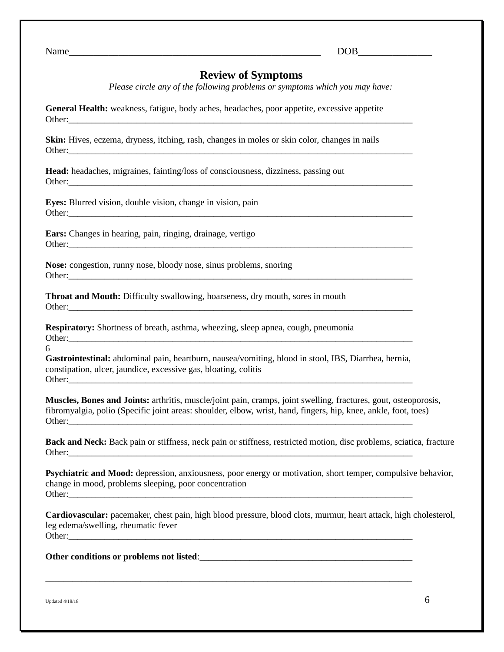Name **Name** 

#### **Review of Symptoms**

*Please circle any of the following problems or symptoms which you may have:*

**General Health:** weakness, fatigue, body aches, headaches, poor appetite, excessive appetite Other:

**Skin:** Hives, eczema, dryness, itching, rash, changes in moles or skin color, changes in nails Other:

**Head:** headaches, migraines, fainting/loss of consciousness, dizziness, passing out Other:\_\_\_\_\_\_\_\_\_\_\_\_\_\_\_\_\_\_\_\_\_\_\_\_\_\_\_\_\_\_\_\_\_\_\_\_\_\_\_\_\_\_\_\_\_\_\_\_\_\_\_\_\_\_\_\_\_\_\_\_\_\_\_\_\_\_\_\_\_\_\_\_\_\_\_\_

**Eyes:** Blurred vision, double vision, change in vision, pain Other:\_\_\_\_\_\_\_\_\_\_\_\_\_\_\_\_\_\_\_\_\_\_\_\_\_\_\_\_\_\_\_\_\_\_\_\_\_\_\_\_\_\_\_\_\_\_\_\_\_\_\_\_\_\_\_\_\_\_\_\_\_\_\_\_\_\_\_\_\_\_\_\_\_\_\_\_

**Ears:** Changes in hearing, pain, ringing, drainage, vertigo Other:\_\_\_\_\_\_\_\_\_\_\_\_\_\_\_\_\_\_\_\_\_\_\_\_\_\_\_\_\_\_\_\_\_\_\_\_\_\_\_\_\_\_\_\_\_\_\_\_\_\_\_\_\_\_\_\_\_\_\_\_\_\_\_\_\_\_\_\_\_\_\_\_\_\_\_\_

**Nose:** congestion, runny nose, bloody nose, sinus problems, snoring Other:

**Throat and Mouth:** Difficulty swallowing, hoarseness, dry mouth, sores in mouth Other:\_\_\_\_\_\_\_\_\_\_\_\_\_\_\_\_\_\_\_\_\_\_\_\_\_\_\_\_\_\_\_\_\_\_\_\_\_\_\_\_\_\_\_\_\_\_\_\_\_\_\_\_\_\_\_\_\_\_\_\_\_\_\_\_\_\_\_\_\_\_\_\_\_\_\_\_

**Respiratory:** Shortness of breath, asthma, wheezing, sleep apnea, cough, pneumonia Other:\_\_\_\_\_\_\_\_\_\_\_\_\_\_\_\_\_\_\_\_\_\_\_\_\_\_\_\_\_\_\_\_\_\_\_\_\_\_\_\_\_\_\_\_\_\_\_\_\_\_\_\_\_\_\_\_\_\_\_\_\_\_\_\_\_\_\_\_\_\_\_\_\_\_\_\_

6

**Gastrointestinal:** abdominal pain, heartburn, nausea/vomiting, blood in stool, IBS, Diarrhea, hernia, constipation, ulcer, jaundice, excessive gas, bloating, colitis Other:

**Muscles, Bones and Joints:** arthritis, muscle/joint pain, cramps, joint swelling, fractures, gout, osteoporosis, fibromyalgia, polio (Specific joint areas: shoulder, elbow, wrist, hand, fingers, hip, knee, ankle, foot, toes) Other:

**Back and Neck:** Back pain or stiffness, neck pain or stiffness, restricted motion, disc problems, sciatica, fracture Other:\_\_\_\_\_\_\_\_\_\_\_\_\_\_\_\_\_\_\_\_\_\_\_\_\_\_\_\_\_\_\_\_\_\_\_\_\_\_\_\_\_\_\_\_\_\_\_\_\_\_\_\_\_\_\_\_\_\_\_\_\_\_\_\_\_\_\_\_\_\_\_\_\_\_\_\_

**Psychiatric and Mood:** depression, anxiousness, poor energy or motivation, short temper, compulsive behavior, change in mood, problems sleeping, poor concentration Other:\_\_\_\_\_\_\_\_\_\_\_\_\_\_\_\_\_\_\_\_\_\_\_\_\_\_\_\_\_\_\_\_\_\_\_\_\_\_\_\_\_\_\_\_\_\_\_\_\_\_\_\_\_\_\_\_\_\_\_\_\_\_\_\_\_\_\_\_\_\_\_\_\_\_\_\_

**Cardiovascular:** pacemaker, chest pain, high blood pressure, blood clots, murmur, heart attack, high cholesterol, leg edema/swelling, rheumatic fever Other:

\_\_\_\_\_\_\_\_\_\_\_\_\_\_\_\_\_\_\_\_\_\_\_\_\_\_\_\_\_\_\_\_\_\_\_\_\_\_\_\_\_\_\_\_\_\_\_\_\_\_\_\_\_\_\_\_\_\_\_\_\_\_\_\_\_\_\_\_\_\_\_\_\_\_\_\_\_\_\_\_\_

**Other conditions or problems not listed**:\_\_\_\_\_\_\_\_\_\_\_\_\_\_\_\_\_\_\_\_\_\_\_\_\_\_\_\_\_\_\_\_\_\_\_\_\_\_\_\_\_\_\_\_\_\_\_

Updated 4/18/18  $\hskip 10.6cm \phantom{100}$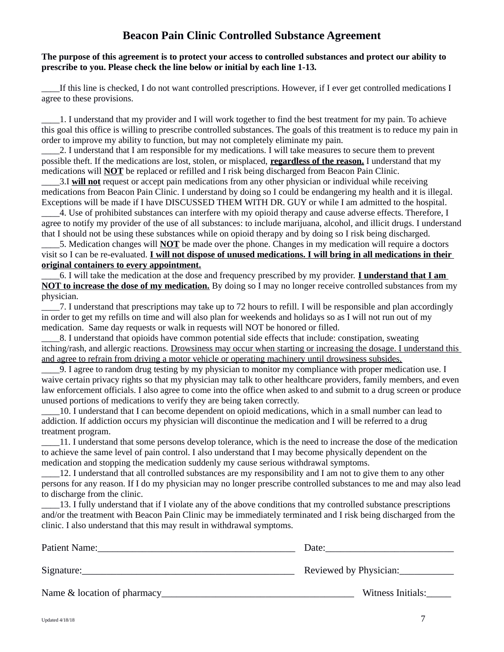### **Beacon Pain Clinic Controlled Substance Agreement**

#### **The purpose of this agreement is to protect your access to controlled substances and protect our ability to prescribe to you. Please check the line below or initial by each line 1-13.**

\_\_\_\_If this line is checked, I do not want controlled prescriptions. However, if I ever get controlled medications I agree to these provisions.

\_\_\_\_1. I understand that my provider and I will work together to find the best treatment for my pain. To achieve this goal this office is willing to prescribe controlled substances. The goals of this treatment is to reduce my pain in order to improve my ability to function, but may not completely eliminate my pain.

\_\_\_\_2. I understand that I am responsible for my medications. I will take measures to secure them to prevent possible theft. If the medications are lost, stolen, or misplaced, **regardless of the reason.** I understand that my medications will **NOT** be replaced or refilled and I risk being discharged from Beacon Pain Clinic.

\_\_\_\_3.I **will not** request or accept pain medications from any other physician or individual while receiving medications from Beacon Pain Clinic. I understand by doing so I could be endangering my health and it is illegal. Exceptions will be made if I have DISCUSSED THEM WITH DR. GUY or while I am admitted to the hospital.

\_\_\_\_4. Use of prohibited substances can interfere with my opioid therapy and cause adverse effects. Therefore, I agree to notify my provider of the use of all substances: to include marijuana, alcohol, and illicit drugs. I understand that I should not be using these substances while on opioid therapy and by doing so I risk being discharged.

\_\_\_\_5. Medication changes will **NOT** be made over the phone. Changes in my medication will require a doctors visit so I can be re-evaluated. **I will not dispose of unused medications. I will bring in all medications in their original containers to every appointment.**

\_\_\_\_6. I will take the medication at the dose and frequency prescribed by my provider. **I understand that I am NOT to increase the dose of my medication.** By doing so I may no longer receive controlled substances from my physician.

\_\_\_\_7. I understand that prescriptions may take up to 72 hours to refill. I will be responsible and plan accordingly in order to get my refills on time and will also plan for weekends and holidays so as I will not run out of my medication. Same day requests or walk in requests will NOT be honored or filled.

\_\_\_\_8. I understand that opioids have common potential side effects that include: constipation, sweating itching/rash, and allergic reactions. Drowsiness may occur when starting or increasing the dosage. I understand this and agree to refrain from driving a motor vehicle or operating machinery until drowsiness subsides.

\_\_\_\_9. I agree to random drug testing by my physician to monitor my compliance with proper medication use. I waive certain privacy rights so that my physician may talk to other healthcare providers, family members, and even law enforcement officials. I also agree to come into the office when asked to and submit to a drug screen or produce unused portions of medications to verify they are being taken correctly.

\_\_\_\_10. I understand that I can become dependent on opioid medications, which in a small number can lead to addiction. If addiction occurs my physician will discontinue the medication and I will be referred to a drug treatment program.

\_\_\_\_11. I understand that some persons develop tolerance, which is the need to increase the dose of the medication to achieve the same level of pain control. I also understand that I may become physically dependent on the medication and stopping the medication suddenly my cause serious withdrawal symptoms.

12. I understand that all controlled substances are my responsibility and I am not to give them to any other persons for any reason. If I do my physician may no longer prescribe controlled substances to me and may also lead to discharge from the clinic.

\_\_\_\_13. I fully understand that if I violate any of the above conditions that my controlled substance prescriptions and/or the treatment with Beacon Pain Clinic may be immediately terminated and I risk being discharged from the clinic. I also understand that this may result in withdrawal symptoms.

| Patient Name:                | Date:                  |
|------------------------------|------------------------|
| Signature:                   | Reviewed by Physician: |
| Name & location of pharmacy_ | Witness Initials:      |